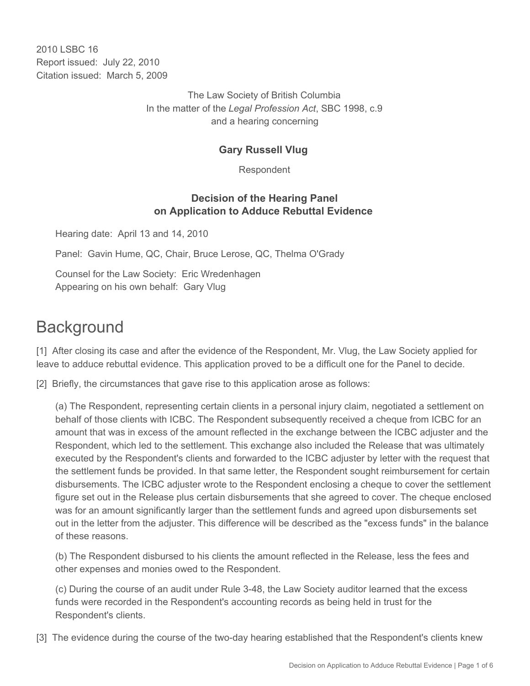2010 LSBC 16 Report issued: July 22, 2010 Citation issued: March 5, 2009

> The Law Society of British Columbia In the matter of the *Legal Profession Act*, SBC 1998, c.9 and a hearing concerning

## **Gary Russell Vlug**

Respondent

## **Decision of the Hearing Panel on Application to Adduce Rebuttal Evidence**

Hearing date: April 13 and 14, 2010

Panel: Gavin Hume, QC, Chair, Bruce Lerose, QC, Thelma O'Grady

Counsel for the Law Society: Eric Wredenhagen Appearing on his own behalf: Gary Vlug

## **Background**

[1] After closing its case and after the evidence of the Respondent, Mr. Vlug, the Law Society applied for leave to adduce rebuttal evidence. This application proved to be a difficult one for the Panel to decide.

[2] Briefly, the circumstances that gave rise to this application arose as follows:

(a) The Respondent, representing certain clients in a personal injury claim, negotiated a settlement on behalf of those clients with ICBC. The Respondent subsequently received a cheque from ICBC for an amount that was in excess of the amount reflected in the exchange between the ICBC adjuster and the Respondent, which led to the settlement. This exchange also included the Release that was ultimately executed by the Respondent's clients and forwarded to the ICBC adjuster by letter with the request that the settlement funds be provided. In that same letter, the Respondent sought reimbursement for certain disbursements. The ICBC adjuster wrote to the Respondent enclosing a cheque to cover the settlement figure set out in the Release plus certain disbursements that she agreed to cover. The cheque enclosed was for an amount significantly larger than the settlement funds and agreed upon disbursements set out in the letter from the adjuster. This difference will be described as the "excess funds" in the balance of these reasons.

(b) The Respondent disbursed to his clients the amount reflected in the Release, less the fees and other expenses and monies owed to the Respondent.

(c) During the course of an audit under Rule 3-48, the Law Society auditor learned that the excess funds were recorded in the Respondent's accounting records as being held in trust for the Respondent's clients.

[3] The evidence during the course of the two-day hearing established that the Respondent's clients knew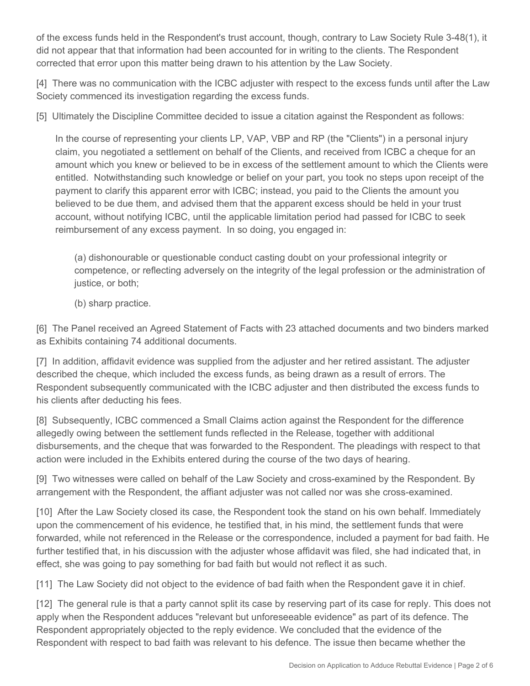of the excess funds held in the Respondent's trust account, though, contrary to Law Society Rule 3-48(1), it did not appear that that information had been accounted for in writing to the clients. The Respondent corrected that error upon this matter being drawn to his attention by the Law Society.

[4] There was no communication with the ICBC adjuster with respect to the excess funds until after the Law Society commenced its investigation regarding the excess funds.

[5] Ultimately the Discipline Committee decided to issue a citation against the Respondent as follows:

In the course of representing your clients LP, VAP, VBP and RP (the "Clients") in a personal injury claim, you negotiated a settlement on behalf of the Clients, and received from ICBC a cheque for an amount which you knew or believed to be in excess of the settlement amount to which the Clients were entitled. Notwithstanding such knowledge or belief on your part, you took no steps upon receipt of the payment to clarify this apparent error with ICBC; instead, you paid to the Clients the amount you believed to be due them, and advised them that the apparent excess should be held in your trust account, without notifying ICBC, until the applicable limitation period had passed for ICBC to seek reimbursement of any excess payment. In so doing, you engaged in:

(a) dishonourable or questionable conduct casting doubt on your professional integrity or competence, or reflecting adversely on the integrity of the legal profession or the administration of justice, or both;

(b) sharp practice.

[6] The Panel received an Agreed Statement of Facts with 23 attached documents and two binders marked as Exhibits containing 74 additional documents.

[7] In addition, affidavit evidence was supplied from the adjuster and her retired assistant. The adjuster described the cheque, which included the excess funds, as being drawn as a result of errors. The Respondent subsequently communicated with the ICBC adjuster and then distributed the excess funds to his clients after deducting his fees.

[8] Subsequently, ICBC commenced a Small Claims action against the Respondent for the difference allegedly owing between the settlement funds reflected in the Release, together with additional disbursements, and the cheque that was forwarded to the Respondent. The pleadings with respect to that action were included in the Exhibits entered during the course of the two days of hearing.

[9] Two witnesses were called on behalf of the Law Society and cross-examined by the Respondent. By arrangement with the Respondent, the affiant adjuster was not called nor was she cross-examined.

[10] After the Law Society closed its case, the Respondent took the stand on his own behalf. Immediately upon the commencement of his evidence, he testified that, in his mind, the settlement funds that were forwarded, while not referenced in the Release or the correspondence, included a payment for bad faith. He further testified that, in his discussion with the adjuster whose affidavit was filed, she had indicated that, in effect, she was going to pay something for bad faith but would not reflect it as such.

[11] The Law Society did not object to the evidence of bad faith when the Respondent gave it in chief.

[12] The general rule is that a party cannot split its case by reserving part of its case for reply. This does not apply when the Respondent adduces "relevant but unforeseeable evidence" as part of its defence. The Respondent appropriately objected to the reply evidence. We concluded that the evidence of the Respondent with respect to bad faith was relevant to his defence. The issue then became whether the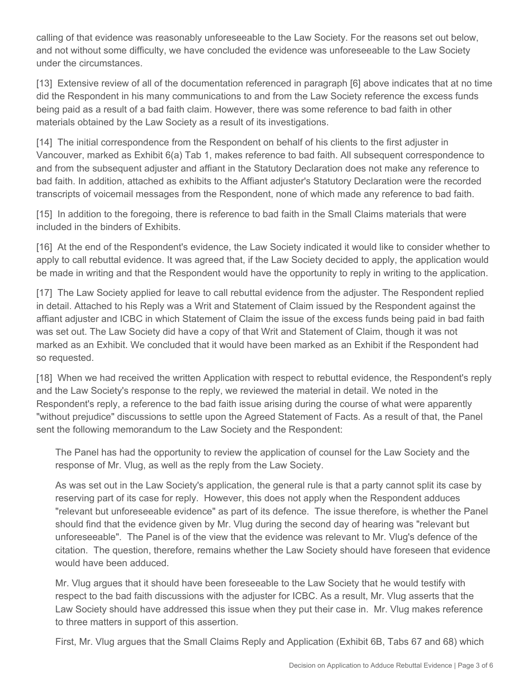calling of that evidence was reasonably unforeseeable to the Law Society. For the reasons set out below, and not without some difficulty, we have concluded the evidence was unforeseeable to the Law Society under the circumstances.

[13] Extensive review of all of the documentation referenced in paragraph [6] above indicates that at no time did the Respondent in his many communications to and from the Law Society reference the excess funds being paid as a result of a bad faith claim. However, there was some reference to bad faith in other materials obtained by the Law Society as a result of its investigations.

[14] The initial correspondence from the Respondent on behalf of his clients to the first adjuster in Vancouver, marked as Exhibit 6(a) Tab 1, makes reference to bad faith. All subsequent correspondence to and from the subsequent adjuster and affiant in the Statutory Declaration does not make any reference to bad faith. In addition, attached as exhibits to the Affiant adjuster's Statutory Declaration were the recorded transcripts of voicemail messages from the Respondent, none of which made any reference to bad faith.

[15] In addition to the foregoing, there is reference to bad faith in the Small Claims materials that were included in the binders of Exhibits.

[16] At the end of the Respondent's evidence, the Law Society indicated it would like to consider whether to apply to call rebuttal evidence. It was agreed that, if the Law Society decided to apply, the application would be made in writing and that the Respondent would have the opportunity to reply in writing to the application.

[17] The Law Society applied for leave to call rebuttal evidence from the adjuster. The Respondent replied in detail. Attached to his Reply was a Writ and Statement of Claim issued by the Respondent against the affiant adjuster and ICBC in which Statement of Claim the issue of the excess funds being paid in bad faith was set out. The Law Society did have a copy of that Writ and Statement of Claim, though it was not marked as an Exhibit. We concluded that it would have been marked as an Exhibit if the Respondent had so requested.

[18] When we had received the written Application with respect to rebuttal evidence, the Respondent's reply and the Law Society's response to the reply, we reviewed the material in detail. We noted in the Respondent's reply, a reference to the bad faith issue arising during the course of what were apparently "without prejudice" discussions to settle upon the Agreed Statement of Facts. As a result of that, the Panel sent the following memorandum to the Law Society and the Respondent:

The Panel has had the opportunity to review the application of counsel for the Law Society and the response of Mr. Vlug, as well as the reply from the Law Society.

As was set out in the Law Society's application, the general rule is that a party cannot split its case by reserving part of its case for reply. However, this does not apply when the Respondent adduces "relevant but unforeseeable evidence" as part of its defence. The issue therefore, is whether the Panel should find that the evidence given by Mr. Vlug during the second day of hearing was "relevant but unforeseeable". The Panel is of the view that the evidence was relevant to Mr. Vlug's defence of the citation. The question, therefore, remains whether the Law Society should have foreseen that evidence would have been adduced.

Mr. Vlug argues that it should have been foreseeable to the Law Society that he would testify with respect to the bad faith discussions with the adjuster for ICBC. As a result, Mr. Vlug asserts that the Law Society should have addressed this issue when they put their case in. Mr. Vlug makes reference to three matters in support of this assertion.

First, Mr. Vlug argues that the Small Claims Reply and Application (Exhibit 6B, Tabs 67 and 68) which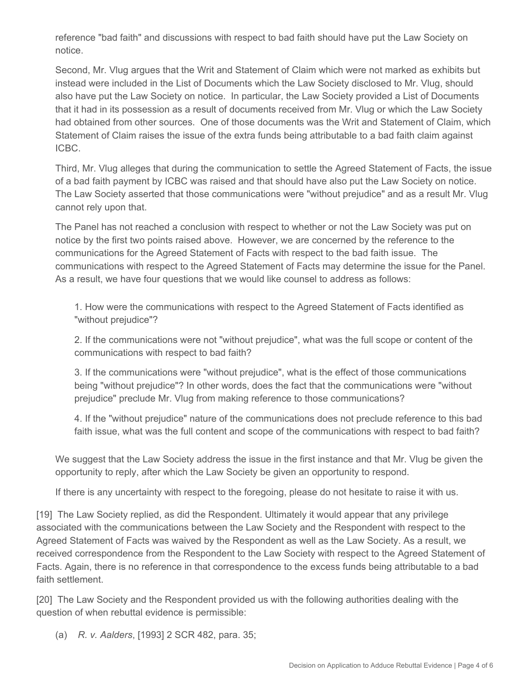reference "bad faith" and discussions with respect to bad faith should have put the Law Society on notice.

Second, Mr. Vlug argues that the Writ and Statement of Claim which were not marked as exhibits but instead were included in the List of Documents which the Law Society disclosed to Mr. Vlug, should also have put the Law Society on notice. In particular, the Law Society provided a List of Documents that it had in its possession as a result of documents received from Mr. Vlug or which the Law Society had obtained from other sources. One of those documents was the Writ and Statement of Claim, which Statement of Claim raises the issue of the extra funds being attributable to a bad faith claim against ICBC.

Third, Mr. Vlug alleges that during the communication to settle the Agreed Statement of Facts, the issue of a bad faith payment by ICBC was raised and that should have also put the Law Society on notice. The Law Society asserted that those communications were "without prejudice" and as a result Mr. Vlug cannot rely upon that.

The Panel has not reached a conclusion with respect to whether or not the Law Society was put on notice by the first two points raised above. However, we are concerned by the reference to the communications for the Agreed Statement of Facts with respect to the bad faith issue. The communications with respect to the Agreed Statement of Facts may determine the issue for the Panel. As a result, we have four questions that we would like counsel to address as follows:

1. How were the communications with respect to the Agreed Statement of Facts identified as "without prejudice"?

2. If the communications were not "without prejudice", what was the full scope or content of the communications with respect to bad faith?

3. If the communications were "without prejudice", what is the effect of those communications being "without prejudice"? In other words, does the fact that the communications were "without prejudice" preclude Mr. Vlug from making reference to those communications?

4. If the "without prejudice" nature of the communications does not preclude reference to this bad faith issue, what was the full content and scope of the communications with respect to bad faith?

We suggest that the Law Society address the issue in the first instance and that Mr. Vlug be given the opportunity to reply, after which the Law Society be given an opportunity to respond.

If there is any uncertainty with respect to the foregoing, please do not hesitate to raise it with us.

[19] The Law Society replied, as did the Respondent. Ultimately it would appear that any privilege associated with the communications between the Law Society and the Respondent with respect to the Agreed Statement of Facts was waived by the Respondent as well as the Law Society. As a result, we received correspondence from the Respondent to the Law Society with respect to the Agreed Statement of Facts. Again, there is no reference in that correspondence to the excess funds being attributable to a bad faith settlement.

[20] The Law Society and the Respondent provided us with the following authorities dealing with the question of when rebuttal evidence is permissible:

(a) *R. v. Aalders*, [1993] 2 SCR 482, para. 35;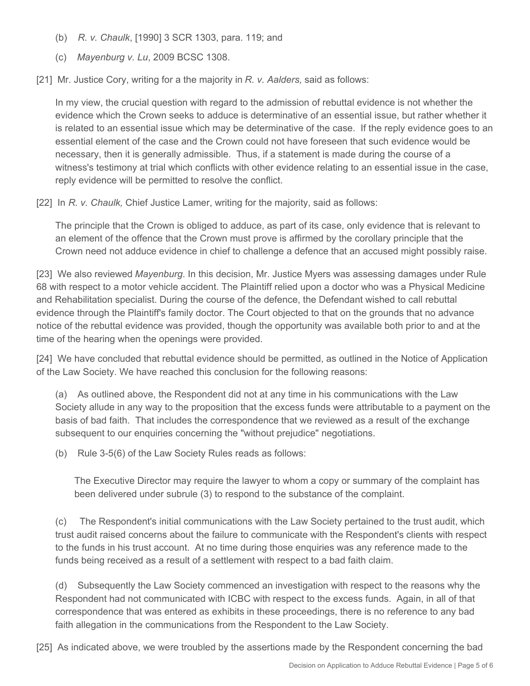- (b) *R. v. Chaulk*, [1990] 3 SCR 1303, para. 119; and
- (c) *Mayenburg v. Lu*, 2009 BCSC 1308.

[21] Mr. Justice Cory, writing for a the majority in *R. v. Aalders,* said as follows:

In my view, the crucial question with regard to the admission of rebuttal evidence is not whether the evidence which the Crown seeks to adduce is determinative of an essential issue, but rather whether it is related to an essential issue which may be determinative of the case. If the reply evidence goes to an essential element of the case and the Crown could not have foreseen that such evidence would be necessary, then it is generally admissible. Thus, if a statement is made during the course of a witness's testimony at trial which conflicts with other evidence relating to an essential issue in the case, reply evidence will be permitted to resolve the conflict.

[22] In *R. v. Chaulk,* Chief Justice Lamer, writing for the majority, said as follows:

The principle that the Crown is obliged to adduce, as part of its case, only evidence that is relevant to an element of the offence that the Crown must prove is affirmed by the corollary principle that the Crown need not adduce evidence in chief to challenge a defence that an accused might possibly raise.

[23] We also reviewed *Mayenburg*. In this decision, Mr. Justice Myers was assessing damages under Rule 68 with respect to a motor vehicle accident. The Plaintiff relied upon a doctor who was a Physical Medicine and Rehabilitation specialist. During the course of the defence, the Defendant wished to call rebuttal evidence through the Plaintiff's family doctor. The Court objected to that on the grounds that no advance notice of the rebuttal evidence was provided, though the opportunity was available both prior to and at the time of the hearing when the openings were provided.

[24] We have concluded that rebuttal evidence should be permitted, as outlined in the Notice of Application of the Law Society. We have reached this conclusion for the following reasons:

(a) As outlined above, the Respondent did not at any time in his communications with the Law Society allude in any way to the proposition that the excess funds were attributable to a payment on the basis of bad faith. That includes the correspondence that we reviewed as a result of the exchange subsequent to our enquiries concerning the "without prejudice" negotiations.

(b) Rule 3-5(6) of the Law Society Rules reads as follows:

The Executive Director may require the lawyer to whom a copy or summary of the complaint has been delivered under subrule (3) to respond to the substance of the complaint.

(c) The Respondent's initial communications with the Law Society pertained to the trust audit, which trust audit raised concerns about the failure to communicate with the Respondent's clients with respect to the funds in his trust account. At no time during those enquiries was any reference made to the funds being received as a result of a settlement with respect to a bad faith claim.

(d) Subsequently the Law Society commenced an investigation with respect to the reasons why the Respondent had not communicated with ICBC with respect to the excess funds. Again, in all of that correspondence that was entered as exhibits in these proceedings, there is no reference to any bad faith allegation in the communications from the Respondent to the Law Society.

[25] As indicated above, we were troubled by the assertions made by the Respondent concerning the bad